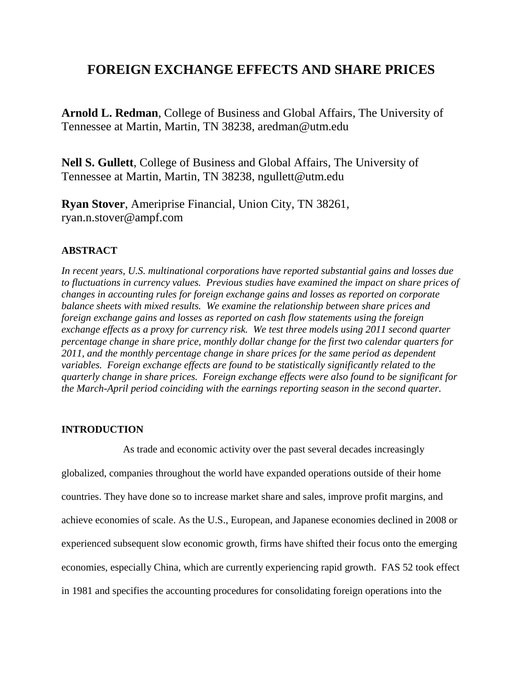# **FOREIGN EXCHANGE EFFECTS AND SHARE PRICES**

**Arnold L. Redman**, College of Business and Global Affairs, The University of Tennessee at Martin, Martin, TN 38238, aredman@utm.edu

**Nell S. Gullett**, College of Business and Global Affairs, The University of Tennessee at Martin, Martin, TN 38238, ngullett@utm.edu

**Ryan Stover**, Ameriprise Financial, Union City, TN 38261, ryan.n.stover@ampf.com

# **ABSTRACT**

*In recent years, U.S. multinational corporations have reported substantial gains and losses due to fluctuations in currency values. Previous studies have examined the impact on share prices of changes in accounting rules for foreign exchange gains and losses as reported on corporate balance sheets with mixed results. We examine the relationship between share prices and foreign exchange gains and losses as reported on cash flow statements using the foreign exchange effects as a proxy for currency risk. We test three models using 2011 second quarter percentage change in share price, monthly dollar change for the first two calendar quarters for 2011, and the monthly percentage change in share prices for the same period as dependent variables. Foreign exchange effects are found to be statistically significantly related to the quarterly change in share prices. Foreign exchange effects were also found to be significant for the March-April period coinciding with the earnings reporting season in the second quarter.*

# **INTRODUCTION**

As trade and economic activity over the past several decades increasingly globalized, companies throughout the world have expanded operations outside of their home countries. They have done so to increase market share and sales, improve profit margins, and achieve economies of scale. As the U.S., European, and Japanese economies declined in 2008 or experienced subsequent slow economic growth, firms have shifted their focus onto the emerging economies, especially China, which are currently experiencing rapid growth. FAS 52 took effect in 1981 and specifies the accounting procedures for consolidating foreign operations into the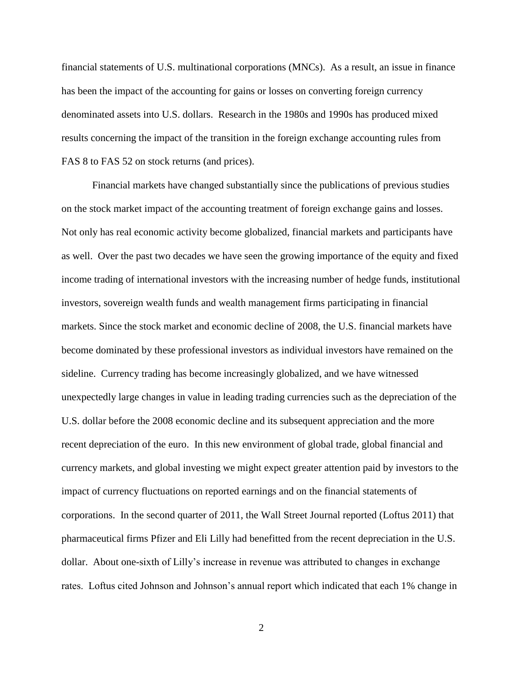financial statements of U.S. multinational corporations (MNCs). As a result, an issue in finance has been the impact of the accounting for gains or losses on converting foreign currency denominated assets into U.S. dollars. Research in the 1980s and 1990s has produced mixed results concerning the impact of the transition in the foreign exchange accounting rules from FAS 8 to FAS 52 on stock returns (and prices).

Financial markets have changed substantially since the publications of previous studies on the stock market impact of the accounting treatment of foreign exchange gains and losses. Not only has real economic activity become globalized, financial markets and participants have as well. Over the past two decades we have seen the growing importance of the equity and fixed income trading of international investors with the increasing number of hedge funds, institutional investors, sovereign wealth funds and wealth management firms participating in financial markets. Since the stock market and economic decline of 2008, the U.S. financial markets have become dominated by these professional investors as individual investors have remained on the sideline. Currency trading has become increasingly globalized, and we have witnessed unexpectedly large changes in value in leading trading currencies such as the depreciation of the U.S. dollar before the 2008 economic decline and its subsequent appreciation and the more recent depreciation of the euro. In this new environment of global trade, global financial and currency markets, and global investing we might expect greater attention paid by investors to the impact of currency fluctuations on reported earnings and on the financial statements of corporations. In the second quarter of 2011, the Wall Street Journal reported (Loftus 2011) that pharmaceutical firms Pfizer and Eli Lilly had benefitted from the recent depreciation in the U.S. dollar. About one-sixth of Lilly's increase in revenue was attributed to changes in exchange rates. Loftus cited Johnson and Johnson's annual report which indicated that each 1% change in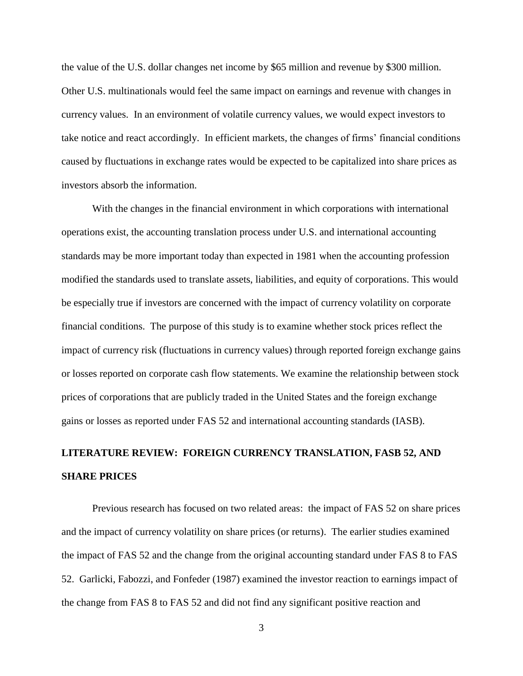the value of the U.S. dollar changes net income by \$65 million and revenue by \$300 million. Other U.S. multinationals would feel the same impact on earnings and revenue with changes in currency values. In an environment of volatile currency values, we would expect investors to take notice and react accordingly. In efficient markets, the changes of firms' financial conditions caused by fluctuations in exchange rates would be expected to be capitalized into share prices as investors absorb the information.

With the changes in the financial environment in which corporations with international operations exist, the accounting translation process under U.S. and international accounting standards may be more important today than expected in 1981 when the accounting profession modified the standards used to translate assets, liabilities, and equity of corporations. This would be especially true if investors are concerned with the impact of currency volatility on corporate financial conditions. The purpose of this study is to examine whether stock prices reflect the impact of currency risk (fluctuations in currency values) through reported foreign exchange gains or losses reported on corporate cash flow statements. We examine the relationship between stock prices of corporations that are publicly traded in the United States and the foreign exchange gains or losses as reported under FAS 52 and international accounting standards (IASB).

# **LITERATURE REVIEW: FOREIGN CURRENCY TRANSLATION, FASB 52, AND SHARE PRICES**

Previous research has focused on two related areas: the impact of FAS 52 on share prices and the impact of currency volatility on share prices (or returns). The earlier studies examined the impact of FAS 52 and the change from the original accounting standard under FAS 8 to FAS 52. Garlicki, Fabozzi, and Fonfeder (1987) examined the investor reaction to earnings impact of the change from FAS 8 to FAS 52 and did not find any significant positive reaction and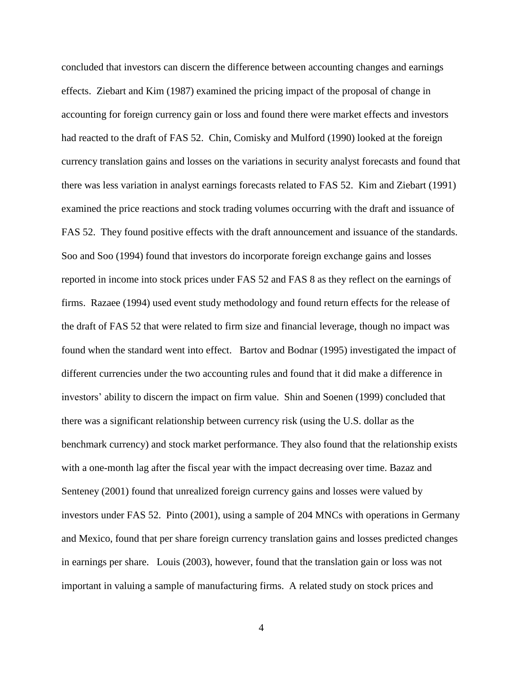concluded that investors can discern the difference between accounting changes and earnings effects. Ziebart and Kim (1987) examined the pricing impact of the proposal of change in accounting for foreign currency gain or loss and found there were market effects and investors had reacted to the draft of FAS 52. Chin, Comisky and Mulford (1990) looked at the foreign currency translation gains and losses on the variations in security analyst forecasts and found that there was less variation in analyst earnings forecasts related to FAS 52. Kim and Ziebart (1991) examined the price reactions and stock trading volumes occurring with the draft and issuance of FAS 52. They found positive effects with the draft announcement and issuance of the standards. Soo and Soo (1994) found that investors do incorporate foreign exchange gains and losses reported in income into stock prices under FAS 52 and FAS 8 as they reflect on the earnings of firms. Razaee (1994) used event study methodology and found return effects for the release of the draft of FAS 52 that were related to firm size and financial leverage, though no impact was found when the standard went into effect. Bartov and Bodnar (1995) investigated the impact of different currencies under the two accounting rules and found that it did make a difference in investors' ability to discern the impact on firm value. Shin and Soenen (1999) concluded that there was a significant relationship between currency risk (using the U.S. dollar as the benchmark currency) and stock market performance. They also found that the relationship exists with a one-month lag after the fiscal year with the impact decreasing over time. Bazaz and Senteney (2001) found that unrealized foreign currency gains and losses were valued by investors under FAS 52. Pinto (2001), using a sample of 204 MNCs with operations in Germany and Mexico, found that per share foreign currency translation gains and losses predicted changes in earnings per share. Louis (2003), however, found that the translation gain or loss was not important in valuing a sample of manufacturing firms. A related study on stock prices and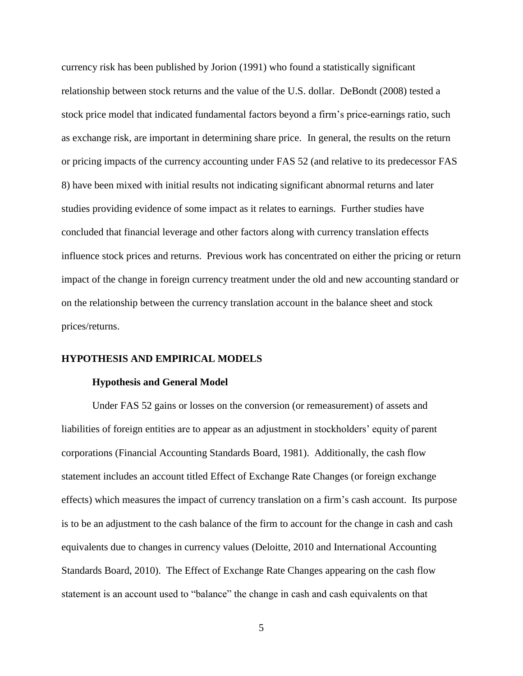currency risk has been published by Jorion (1991) who found a statistically significant relationship between stock returns and the value of the U.S. dollar. DeBondt (2008) tested a stock price model that indicated fundamental factors beyond a firm's price-earnings ratio, such as exchange risk, are important in determining share price. In general, the results on the return or pricing impacts of the currency accounting under FAS 52 (and relative to its predecessor FAS 8) have been mixed with initial results not indicating significant abnormal returns and later studies providing evidence of some impact as it relates to earnings. Further studies have concluded that financial leverage and other factors along with currency translation effects influence stock prices and returns. Previous work has concentrated on either the pricing or return impact of the change in foreign currency treatment under the old and new accounting standard or on the relationship between the currency translation account in the balance sheet and stock prices/returns.

#### **HYPOTHESIS AND EMPIRICAL MODELS**

#### **Hypothesis and General Model**

Under FAS 52 gains or losses on the conversion (or remeasurement) of assets and liabilities of foreign entities are to appear as an adjustment in stockholders' equity of parent corporations (Financial Accounting Standards Board, 1981). Additionally, the cash flow statement includes an account titled Effect of Exchange Rate Changes (or foreign exchange effects) which measures the impact of currency translation on a firm's cash account. Its purpose is to be an adjustment to the cash balance of the firm to account for the change in cash and cash equivalents due to changes in currency values (Deloitte, 2010 and International Accounting Standards Board, 2010). The Effect of Exchange Rate Changes appearing on the cash flow statement is an account used to "balance" the change in cash and cash equivalents on that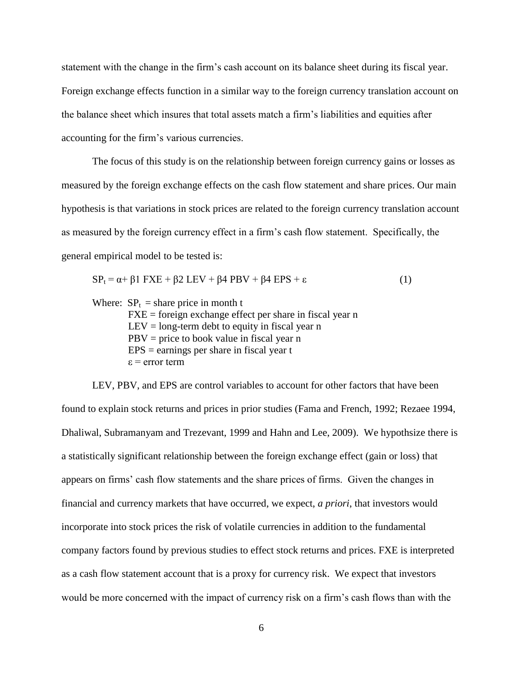statement with the change in the firm's cash account on its balance sheet during its fiscal year. Foreign exchange effects function in a similar way to the foreign currency translation account on the balance sheet which insures that total assets match a firm's liabilities and equities after accounting for the firm's various currencies.

The focus of this study is on the relationship between foreign currency gains or losses as measured by the foreign exchange effects on the cash flow statement and share prices. Our main hypothesis is that variations in stock prices are related to the foreign currency translation account as measured by the foreign currency effect in a firm's cash flow statement. Specifically, the general empirical model to be tested is:

$$
SPt = \alpha + \beta 1 FXE + \beta 2 LEV + \beta 4 PBV + \beta 4 EPS + \varepsilon
$$
 (1)

Where:  $SP<sub>t</sub>$  = share price in month t

 $FXE =$  foreign exchange effect per share in fiscal year n  $LEV = long-term debt to equity in fiscal year n$  $PBV = price to book value in fiscal year n$  $EPS =$  earnings per share in fiscal year t ε = error term

LEV, PBV, and EPS are control variables to account for other factors that have been found to explain stock returns and prices in prior studies (Fama and French, 1992; Rezaee 1994, Dhaliwal, Subramanyam and Trezevant, 1999 and Hahn and Lee, 2009). We hypothsize there is a statistically significant relationship between the foreign exchange effect (gain or loss) that appears on firms' cash flow statements and the share prices of firms. Given the changes in financial and currency markets that have occurred, we expect, *a priori*, that investors would incorporate into stock prices the risk of volatile currencies in addition to the fundamental company factors found by previous studies to effect stock returns and prices. FXE is interpreted as a cash flow statement account that is a proxy for currency risk. We expect that investors would be more concerned with the impact of currency risk on a firm's cash flows than with the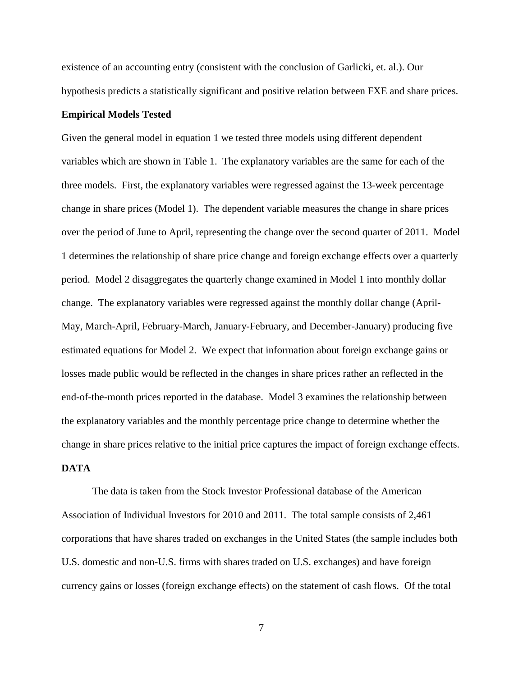existence of an accounting entry (consistent with the conclusion of Garlicki, et. al.). Our hypothesis predicts a statistically significant and positive relation between FXE and share prices.

#### **Empirical Models Tested**

Given the general model in equation 1 we tested three models using different dependent variables which are shown in Table 1. The explanatory variables are the same for each of the three models. First, the explanatory variables were regressed against the 13-week percentage change in share prices (Model 1). The dependent variable measures the change in share prices over the period of June to April, representing the change over the second quarter of 2011. Model 1 determines the relationship of share price change and foreign exchange effects over a quarterly period. Model 2 disaggregates the quarterly change examined in Model 1 into monthly dollar change. The explanatory variables were regressed against the monthly dollar change (April-May, March-April, February-March, January-February, and December-January) producing five estimated equations for Model 2. We expect that information about foreign exchange gains or losses made public would be reflected in the changes in share prices rather an reflected in the end-of-the-month prices reported in the database. Model 3 examines the relationship between the explanatory variables and the monthly percentage price change to determine whether the change in share prices relative to the initial price captures the impact of foreign exchange effects. **DATA** 

The data is taken from the Stock Investor Professional database of the American Association of Individual Investors for 2010 and 2011. The total sample consists of 2,461 corporations that have shares traded on exchanges in the United States (the sample includes both U.S. domestic and non-U.S. firms with shares traded on U.S. exchanges) and have foreign currency gains or losses (foreign exchange effects) on the statement of cash flows. Of the total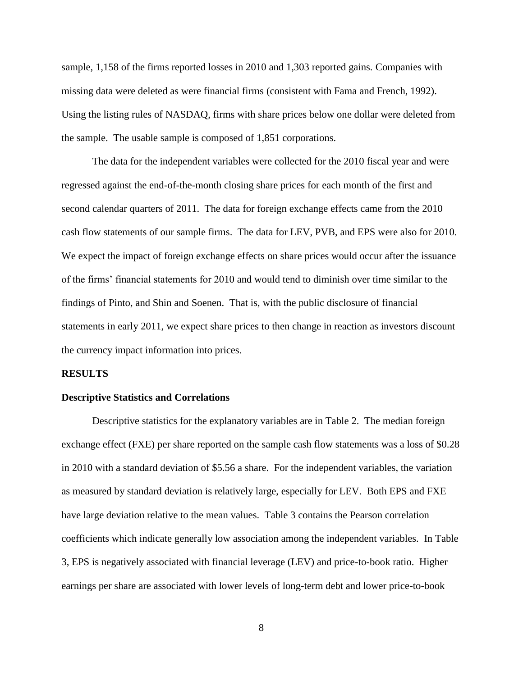sample, 1,158 of the firms reported losses in 2010 and 1,303 reported gains. Companies with missing data were deleted as were financial firms (consistent with Fama and French, 1992). Using the listing rules of NASDAQ, firms with share prices below one dollar were deleted from the sample. The usable sample is composed of 1,851 corporations.

The data for the independent variables were collected for the 2010 fiscal year and were regressed against the end-of-the-month closing share prices for each month of the first and second calendar quarters of 2011. The data for foreign exchange effects came from the 2010 cash flow statements of our sample firms. The data for LEV, PVB, and EPS were also for 2010. We expect the impact of foreign exchange effects on share prices would occur after the issuance of the firms' financial statements for 2010 and would tend to diminish over time similar to the findings of Pinto, and Shin and Soenen. That is, with the public disclosure of financial statements in early 2011, we expect share prices to then change in reaction as investors discount the currency impact information into prices.

#### **RESULTS**

#### **Descriptive Statistics and Correlations**

Descriptive statistics for the explanatory variables are in Table 2. The median foreign exchange effect (FXE) per share reported on the sample cash flow statements was a loss of \$0.28 in 2010 with a standard deviation of \$5.56 a share. For the independent variables, the variation as measured by standard deviation is relatively large, especially for LEV. Both EPS and FXE have large deviation relative to the mean values. Table 3 contains the Pearson correlation coefficients which indicate generally low association among the independent variables. In Table 3, EPS is negatively associated with financial leverage (LEV) and price-to-book ratio. Higher earnings per share are associated with lower levels of long-term debt and lower price-to-book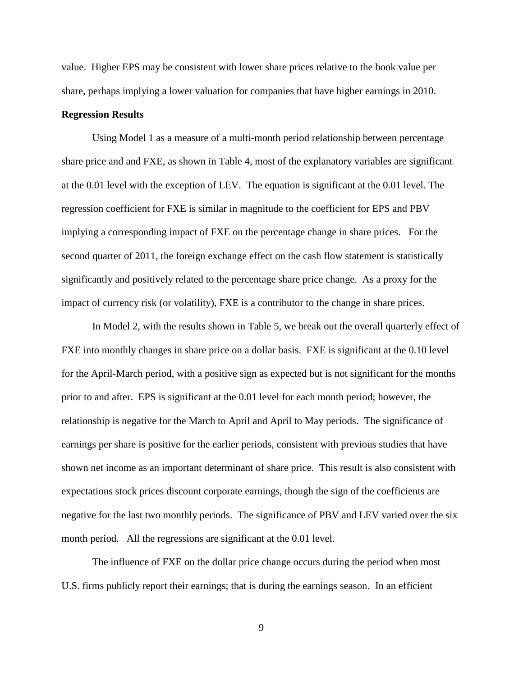value. Higher EPS may be consistent with lower share prices relative to the book value per share, perhaps implying a lower valuation for companies that have higher earnings in 2010.

#### **Regression Results**

Using Model 1 as a measure of a multi-month period relationship between percentage share price and and FXE, as shown in Table 4, most of the explanatory variables are significant at the 0.01 level with the exception of LEV. The equation is significant at the 0.01 level. The regression coefficient for FXE is similar in magnitude to the coefficient for EPS and PBV implying a corresponding impact of FXE on the percentage change in share prices. For the second quarter of 2011, the foreign exchange effect on the cash flow statement is statistically significantly and positively related to the percentage share price change. As a proxy for the impact of currency risk (or volatility), FXE is a contributor to the change in share prices.

In Model 2, with the results shown in Table 5, we break out the overall quarterly effect of FXE into monthly changes in share price on a dollar basis. FXE is significant at the 0.10 level for the April-March period, with a positive sign as expected but is not significant for the months prior to and after. EPS is significant at the 0.01 level for each month period; however, the relationship is negative for the March to April and April to May periods. The significance of earnings per share is positive for the earlier periods, consistent with previous studies that have shown net income as an important determinant of share price. This result is also consistent with expectations stock prices discount corporate earnings, though the sign of the coefficients are negative for the last two monthly periods. The significance of PBV and LEV varied over the six month period. All the regressions are significant at the 0.01 level.

The influence of FXE on the dollar price change occurs during the period when most U.S. firms publicly report their earnings; that is during the earnings season. In an efficient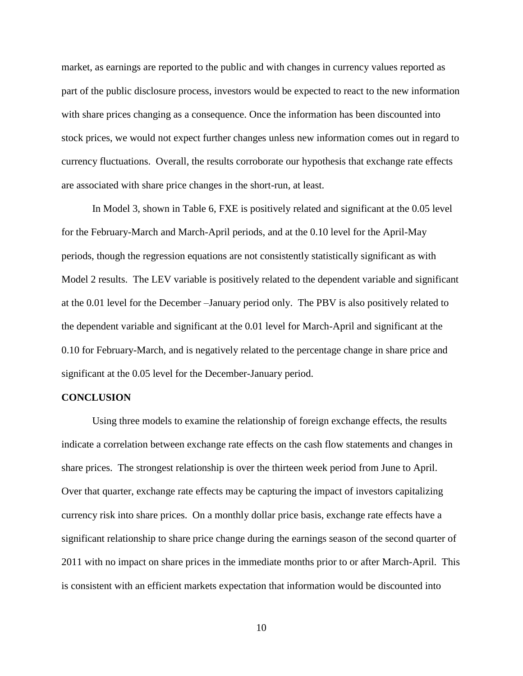market, as earnings are reported to the public and with changes in currency values reported as part of the public disclosure process, investors would be expected to react to the new information with share prices changing as a consequence. Once the information has been discounted into stock prices, we would not expect further changes unless new information comes out in regard to currency fluctuations. Overall, the results corroborate our hypothesis that exchange rate effects are associated with share price changes in the short-run, at least.

In Model 3, shown in Table 6, FXE is positively related and significant at the 0.05 level for the February-March and March-April periods, and at the 0.10 level for the April-May periods, though the regression equations are not consistently statistically significant as with Model 2 results. The LEV variable is positively related to the dependent variable and significant at the 0.01 level for the December –January period only. The PBV is also positively related to the dependent variable and significant at the 0.01 level for March-April and significant at the 0.10 for February-March, and is negatively related to the percentage change in share price and significant at the 0.05 level for the December-January period.

#### **CONCLUSION**

Using three models to examine the relationship of foreign exchange effects, the results indicate a correlation between exchange rate effects on the cash flow statements and changes in share prices. The strongest relationship is over the thirteen week period from June to April. Over that quarter, exchange rate effects may be capturing the impact of investors capitalizing currency risk into share prices. On a monthly dollar price basis, exchange rate effects have a significant relationship to share price change during the earnings season of the second quarter of 2011 with no impact on share prices in the immediate months prior to or after March-April. This is consistent with an efficient markets expectation that information would be discounted into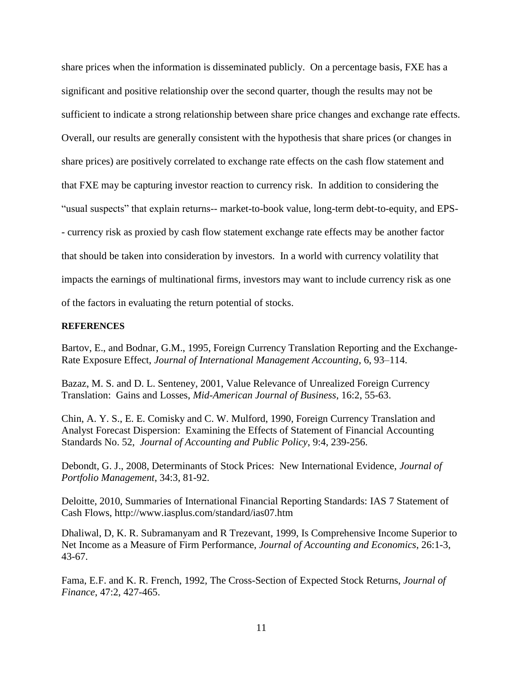share prices when the information is disseminated publicly. On a percentage basis, FXE has a significant and positive relationship over the second quarter, though the results may not be sufficient to indicate a strong relationship between share price changes and exchange rate effects. Overall, our results are generally consistent with the hypothesis that share prices (or changes in share prices) are positively correlated to exchange rate effects on the cash flow statement and that FXE may be capturing investor reaction to currency risk. In addition to considering the "usual suspects" that explain returns-- market-to-book value, long-term debt-to-equity, and EPS- - currency risk as proxied by cash flow statement exchange rate effects may be another factor that should be taken into consideration by investors. In a world with currency volatility that impacts the earnings of multinational firms, investors may want to include currency risk as one of the factors in evaluating the return potential of stocks.

#### **REFERENCES**

Bartov, E., and Bodnar, G.M., 1995, Foreign Currency Translation Reporting and the Exchange-Rate Exposure Effect, *Journal of International Management Accounting*, 6, 93–114.

Bazaz, M. S. and D. L. Senteney, 2001, Value Relevance of Unrealized Foreign Currency Translation: Gains and Losses, *Mid*-*American Journal of Business*, 16:2, 55-63.

Chin, A. Y. S., E. E. Comisky and C. W. Mulford, 1990, Foreign Currency Translation and Analyst Forecast Dispersion: Examining the Effects of Statement of Financial Accounting Standards No. 52, *Journal of Accounting and Public Policy*, 9:4, 239-256.

Debondt, G. J., 2008, Determinants of Stock Prices: New International Evidence, *Journal of Portfolio Management*, 34:3, 81-92.

Deloitte, 2010, Summaries of International Financial Reporting Standards: IAS 7 Statement of Cash Flows, http://www.iasplus.com/standard/ias07.htm

Dhaliwal, D, K. R. Subramanyam and R Trezevant, 1999, Is Comprehensive Income Superior to Net Income as a Measure of Firm Performance, *Journal of Accounting and Economics*, 26:1-3, 43-67.

Fama, E.F. and K. R. French, 1992, The Cross-Section of Expected Stock Returns, *Journal of Finance*, 47:2, 427-465.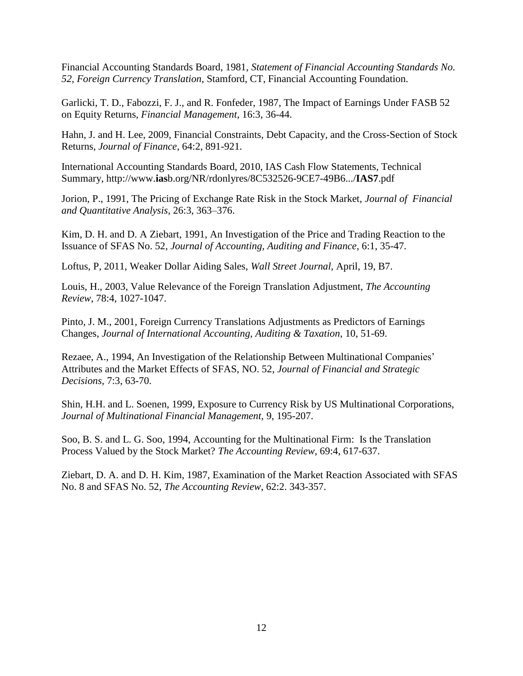Financial Accounting Standards Board, 1981, *Statement of Financial Accounting Standards No. 52, Foreign Currency Translation,* Stamford, CT, Financial Accounting Foundation.

Garlicki, T. D., Fabozzi, F. J., and R. Fonfeder, 1987, The Impact of Earnings Under FASB 52 on Equity Returns, *Financial Management*, 16:3, 36-44.

Hahn, J. and H. Lee, 2009, Financial Constraints, Debt Capacity, and the Cross-Section of Stock Returns, *Journal of Finance*, 64:2, 891-921.

International Accounting Standards Board, 2010, IAS Cash Flow Statements, Technical Summary, http://www.**ias**b.org/NR/rdonlyres/8C532526-9CE7-49B6.../**IAS7**.pdf

Jorion, P., 1991, The Pricing of Exchange Rate Risk in the Stock Market, *Journal of Financial and Quantitative Analysis*, 26:3, 363–376.

Kim, D. H. and D. A Ziebart, 1991, An Investigation of the Price and Trading Reaction to the Issuance of SFAS No. 52, *Journal of Accounting, Auditing and Finance*, 6:1, 35-47.

Loftus, P, 2011, Weaker Dollar Aiding Sales, *Wall Street Journal*, April, 19, B7.

Louis, H., 2003, Value Relevance of the Foreign Translation Adjustment, *The Accounting Review*, 78:4, 1027-1047.

Pinto, J. M., 2001, Foreign Currency Translations Adjustments as Predictors of Earnings Changes, *Journal of International Accounting, Auditing & Taxation*, 10, 51-69.

Rezaee, A., 1994, An Investigation of the Relationship Between Multinational Companies' Attributes and the Market Effects of SFAS, NO. 52, *Journal of Financial and Strategic Decisions*, 7:3, 63-70.

Shin, H.H. and L. Soenen, 1999, Exposure to Currency Risk by US Multinational Corporations, *Journal of Multinational Financial Management,* 9, 195-207.

Soo, B. S. and L. G. Soo, 1994, Accounting for the Multinational Firm: Is the Translation Process Valued by the Stock Market? *The Accounting Review*, 69:4, 617-637.

Ziebart, D. A. and D. H. Kim, 1987, Examination of the Market Reaction Associated with SFAS No. 8 and SFAS No. 52, *The Accounting Review*, 62:2. 343-357.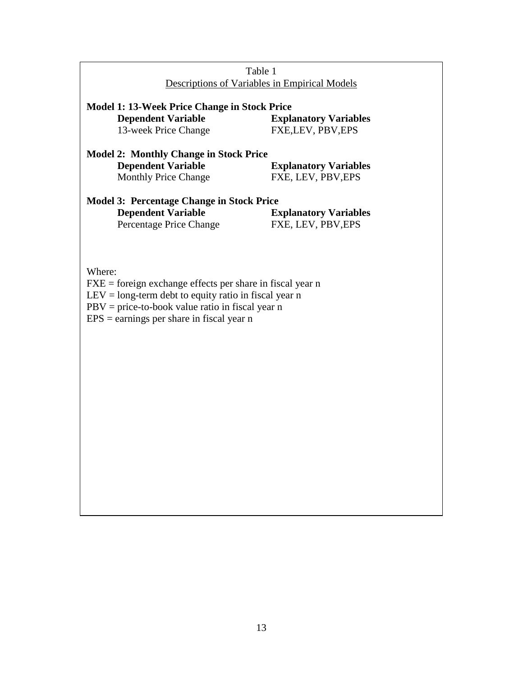| Table 1                                                                                                   |                              |  |  |  |  |  |  |
|-----------------------------------------------------------------------------------------------------------|------------------------------|--|--|--|--|--|--|
| Descriptions of Variables in Empirical Models                                                             |                              |  |  |  |  |  |  |
|                                                                                                           |                              |  |  |  |  |  |  |
| Model 1: 13-Week Price Change in Stock Price<br><b>Dependent Variable</b><br><b>Explanatory Variables</b> |                              |  |  |  |  |  |  |
| 13-week Price Change                                                                                      | FXE,LEV, PBV,EPS             |  |  |  |  |  |  |
|                                                                                                           |                              |  |  |  |  |  |  |
| <b>Model 2: Monthly Change in Stock Price</b>                                                             |                              |  |  |  |  |  |  |
| <b>Dependent Variable</b>                                                                                 | <b>Explanatory Variables</b> |  |  |  |  |  |  |
| Monthly Price Change                                                                                      | FXE, LEV, PBV, EPS           |  |  |  |  |  |  |
|                                                                                                           |                              |  |  |  |  |  |  |
| <b>Model 3: Percentage Change in Stock Price</b>                                                          |                              |  |  |  |  |  |  |
| <b>Dependent Variable</b>                                                                                 | <b>Explanatory Variables</b> |  |  |  |  |  |  |
| Percentage Price Change                                                                                   | FXE, LEV, PBV, EPS           |  |  |  |  |  |  |
|                                                                                                           |                              |  |  |  |  |  |  |
|                                                                                                           |                              |  |  |  |  |  |  |
| Where:                                                                                                    |                              |  |  |  |  |  |  |
| $FXE = foreign exchange effects per share in fiscal year n$                                               |                              |  |  |  |  |  |  |
| $LEV = long-term debt to equity ratio in fiscal year n$                                                   |                              |  |  |  |  |  |  |
| $PBV = price-to-book value ratio in fiscal year n$                                                        |                              |  |  |  |  |  |  |
| $EPS =$ earnings per share in fiscal year n                                                               |                              |  |  |  |  |  |  |
|                                                                                                           |                              |  |  |  |  |  |  |
|                                                                                                           |                              |  |  |  |  |  |  |
|                                                                                                           |                              |  |  |  |  |  |  |
|                                                                                                           |                              |  |  |  |  |  |  |
|                                                                                                           |                              |  |  |  |  |  |  |
|                                                                                                           |                              |  |  |  |  |  |  |
|                                                                                                           |                              |  |  |  |  |  |  |
|                                                                                                           |                              |  |  |  |  |  |  |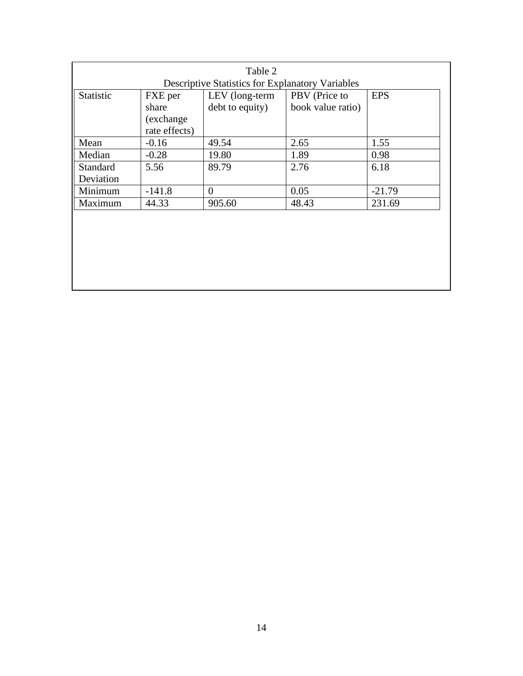|                                                         |               | Table 2         |                   |            |  |  |  |
|---------------------------------------------------------|---------------|-----------------|-------------------|------------|--|--|--|
| <b>Descriptive Statistics for Explanatory Variables</b> |               |                 |                   |            |  |  |  |
| Statistic                                               | FXE per       | LEV (long-term  | PBV (Price to     | <b>EPS</b> |  |  |  |
|                                                         | share         | debt to equity) | book value ratio) |            |  |  |  |
|                                                         | (exchange)    |                 |                   |            |  |  |  |
|                                                         | rate effects) |                 |                   |            |  |  |  |
| Mean                                                    | $-0.16$       | 49.54           | 2.65              | 1.55       |  |  |  |
| Median                                                  | $-0.28$       | 19.80           | 1.89              | 0.98       |  |  |  |
| <b>Standard</b>                                         | 5.56          | 89.79           | 2.76              | 6.18       |  |  |  |
| Deviation                                               |               |                 |                   |            |  |  |  |
| Minimum                                                 | $-141.8$      | $\theta$        | 0.05              | $-21.79$   |  |  |  |
| Maximum                                                 | 44.33         | 905.60          | 48.43             | 231.69     |  |  |  |
|                                                         |               |                 |                   |            |  |  |  |
|                                                         |               |                 |                   |            |  |  |  |
|                                                         |               |                 |                   |            |  |  |  |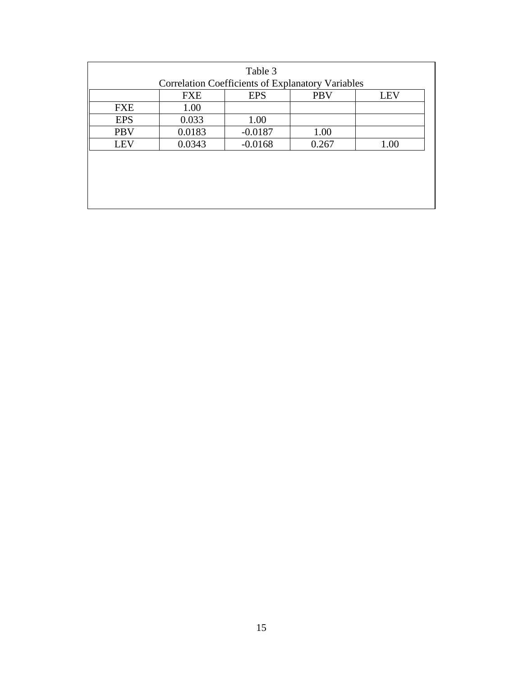| Table 3<br><b>Correlation Coefficients of Explanatory Variables</b> |            |            |            |  |  |  |
|---------------------------------------------------------------------|------------|------------|------------|--|--|--|
| <b>FXE</b>                                                          | <b>EPS</b> | <b>PBV</b> | <b>LEV</b> |  |  |  |
| 1.00                                                                |            |            |            |  |  |  |
| 0.033                                                               | 1.00       |            |            |  |  |  |
| 0.0183                                                              | $-0.0187$  | 1.00       |            |  |  |  |
| 0.0343                                                              | $-0.0168$  | 0.267      | 1.00       |  |  |  |
|                                                                     |            |            |            |  |  |  |
|                                                                     |            |            |            |  |  |  |
|                                                                     |            |            |            |  |  |  |
|                                                                     |            |            |            |  |  |  |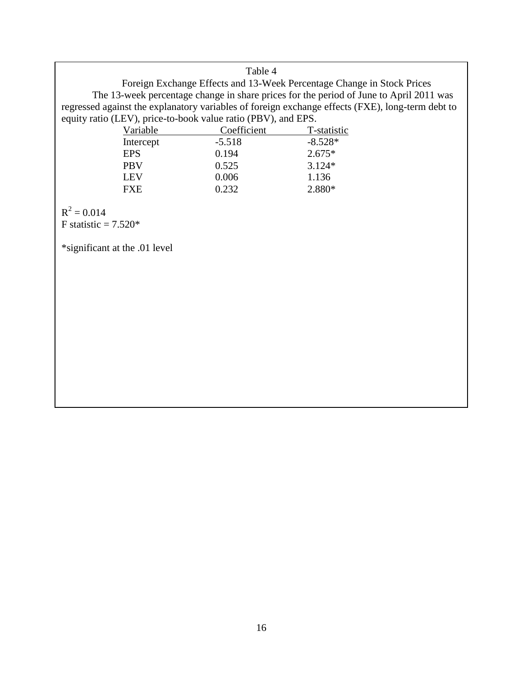### Table 4

Foreign Exchange Effects and 13-Week Percentage Change in Stock Prices The 13-week percentage change in share prices for the period of June to April 2011 was regressed against the explanatory variables of foreign exchange effects (FXE), long-term debt to equity ratio (LEV), price-to-book value ratio (PBV), and EPS.

| Variable   | Coefficient | T-statistic |  |  |
|------------|-------------|-------------|--|--|
| Intercept  | $-5.518$    | $-8.528*$   |  |  |
| <b>EPS</b> | 0.194       | $2.675*$    |  |  |
| <b>PBV</b> | 0.525       | $3.124*$    |  |  |
| <b>LEV</b> | 0.006       | 1.136       |  |  |
| <b>FXE</b> | 0.232       | 2.880*      |  |  |

 $R^2 = 0.014$ 

F statistic  $= 7.520*$ 

\*significant at the .01 level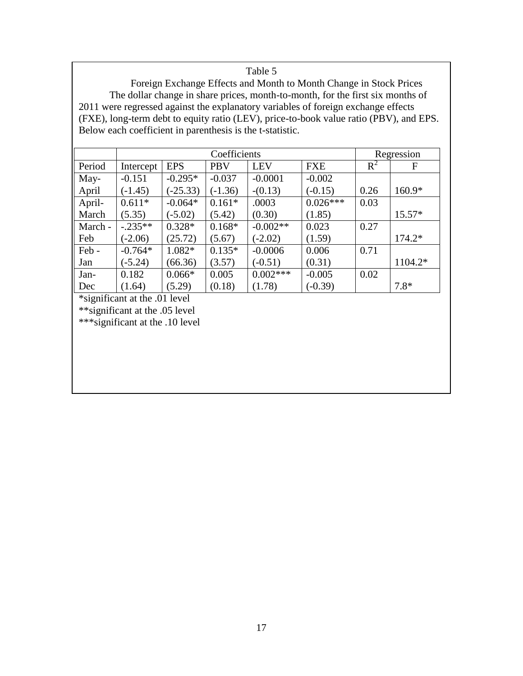# Table 5

Foreign Exchange Effects and Month to Month Change in Stock Prices The dollar change in share prices, month-to-month, for the first six months of 2011 were regressed against the explanatory variables of foreign exchange effects (FXE), long-term debt to equity ratio (LEV), price-to-book value ratio (PBV), and EPS. Below each coefficient in parenthesis is the t-statistic.

|         | Coefficients |            |            |            |            | Regression |          |
|---------|--------------|------------|------------|------------|------------|------------|----------|
| Period  | Intercept    | <b>EPS</b> | <b>PBV</b> | <b>LEV</b> | <b>FXE</b> | $R^2$      | F        |
| May-    | $-0.151$     | $-0.295*$  | $-0.037$   | $-0.0001$  | $-0.002$   |            |          |
| April   | $(-1.45)$    | $(-25.33)$ | $(-1.36)$  | $-(0.13)$  | $(-0.15)$  | 0.26       | $160.9*$ |
| April-  | $0.611*$     | $-0.064*$  | $0.161*$   | .0003      | $0.026***$ | 0.03       |          |
| March   | (5.35)       | $(-5.02)$  | (5.42)     | (0.30)     | (1.85)     |            | $15.57*$ |
| March - | $-.235**$    | $0.328*$   | $0.168*$   | $-0.002**$ | 0.023      | 0.27       |          |
| Feb     | $(-2.06)$    | (25.72)    | (5.67)     | $(-2.02)$  | (1.59)     |            | $174.2*$ |
| Feb-    | $-0.764*$    | 1.082*     | $0.135*$   | $-0.0006$  | 0.006      | 0.71       |          |
| Jan     | $(-5.24)$    | (66.36)    | (3.57)     | $(-0.51)$  | (0.31)     |            | 1104.2*  |
| Jan-    | 0.182        | $0.066*$   | 0.005      | $0.002***$ | $-0.005$   | 0.02       |          |
| Dec     | (1.64)       | (5.29)     | (0.18)     | (1.78)     | $(-0.39)$  |            | $7.8*$   |

\*significant at the .01 level

\*\*significant at the .05 level

\*\*\*significant at the .10 level